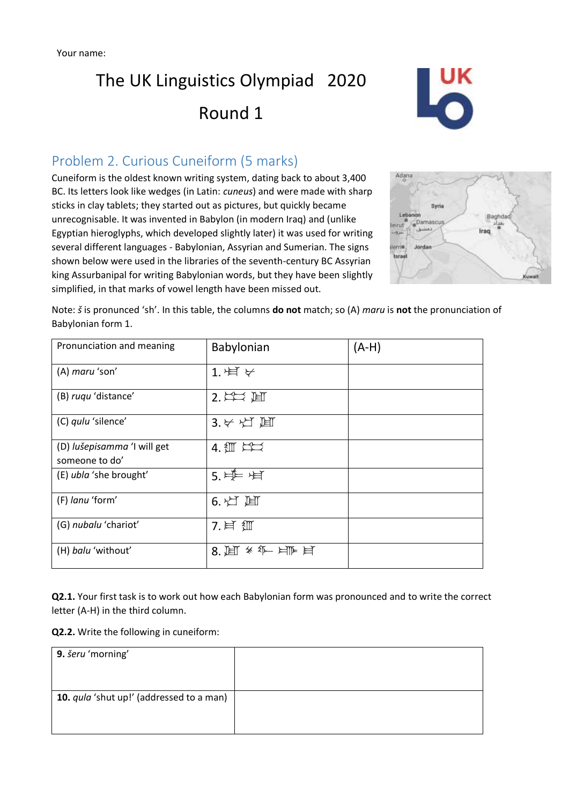

#### Problem 2. Curious Cuneiform (5 marks)

Cuneiform is the oldest known writing system, dating back to about 3,400 BC. Its letters look like wedges (in Latin: *cuneus*) and were made with sharp sticks in clay tablets; they started out as pictures, but quickly became unrecognisable. It was invented in Babylon (in modern Iraq) and (unlike Egyptian hieroglyphs, which developed slightly later) it was used for writing several different languages - Babylonian, Assyrian and Sumerian. The signs shown below were used in the libraries of the seventh-century BC Assyrian king Assurbanipal for writing Babylonian words, but they have been slightly simplified, in that marks of vowel length have been missed out.



Note: *š* is pronunced 'sh'. In this table, the columns **do not** match; so (A) *maru* is **not** the pronunciation of Babylonian form 1.

| Pronunciation and meaning   | Babylonian                  | $(A-H)$ |
|-----------------------------|-----------------------------|---------|
| (A) maru 'son'              | 1. 卢 $\forall$              |         |
| (B) ruqu 'distance'         | $2.$ 注二 、固                  |         |
| (C) qulu 'silence'          | $3.55 \times 10^{-11}$      |         |
| (D) lušepisamma 'I will get | $4.1$ $\text{m}$ $\text{m}$ |         |
| someone to do'              |                             |         |
| (E) ubla 'she brought'      | 5.单片                        |         |
| (F) lanu 'form'             | 6. 灯 固                      |         |
| (G) nubalu 'chariot'        | 7. 耳 细                      |         |
| (H) balu 'without'          | 8. 圓 冬年 日下日                 |         |

**Q2.1.** Your first task is to work out how each Babylonian form was pronounced and to write the correct letter (A-H) in the third column.

**Q2.2.** Write the following in cuneiform:

| 9. šeru 'morning'                               |  |
|-------------------------------------------------|--|
| 10. <i>qula</i> 'shut up!' (addressed to a man) |  |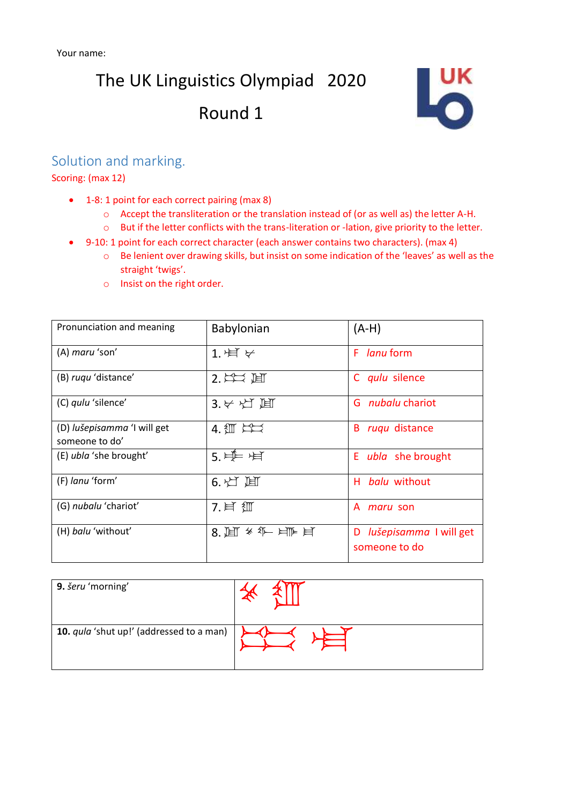

#### Solution and marking.

Scoring: (max 12)

- 1-8: 1 point for each correct pairing (max 8)
	- o Accept the transliteration or the translation instead of (or as well as) the letter A-H.
	- o But if the letter conflicts with the trans-literation or -lation, give priority to the letter.
- 9-10: 1 point for each correct character (each answer contains two characters). (max 4)
	- o Be lenient over drawing skills, but insist on some indication of the 'leaves' as well as the straight 'twigs'.
	- o Insist on the right order.

| Pronunciation and meaning                     | Babylonian                               | $(A-H)$                                      |
|-----------------------------------------------|------------------------------------------|----------------------------------------------|
| (A) maru 'son'                                | 1. 卢 $\forall$                           | F lanu form                                  |
| (B) rugu 'distance'                           | $2.$ $\leftrightarrow$ $\leftrightarrow$ | C qulu silence                               |
| (C) qulu 'silence'                            | $3.55 \pm 1.0$                           | G <i>nubalu</i> chariot                      |
| (D) lušepisamma 'I will get<br>someone to do' | $4.1$ $\pm 2$                            | ruqu distance<br>B                           |
| (E) ubla 'she brought'                        | 5. $H = H$                               | E <i>ubla</i> she brought                    |
| (F) lanu 'form'                               | $6.$ 灯 圓                                 | <i>balu</i> without<br>н.                    |
| (G) nubalu 'chariot'                          | 7. 耳 细                                   | A <i>maru</i> son                            |
| (H) balu 'without'                            | 8. 闻 * 年 月 目                             | lušepisamma I will get<br>D<br>someone to do |

| 9. šeru 'morning'                        |  |
|------------------------------------------|--|
| 10. qula 'shut up!' (addressed to a man) |  |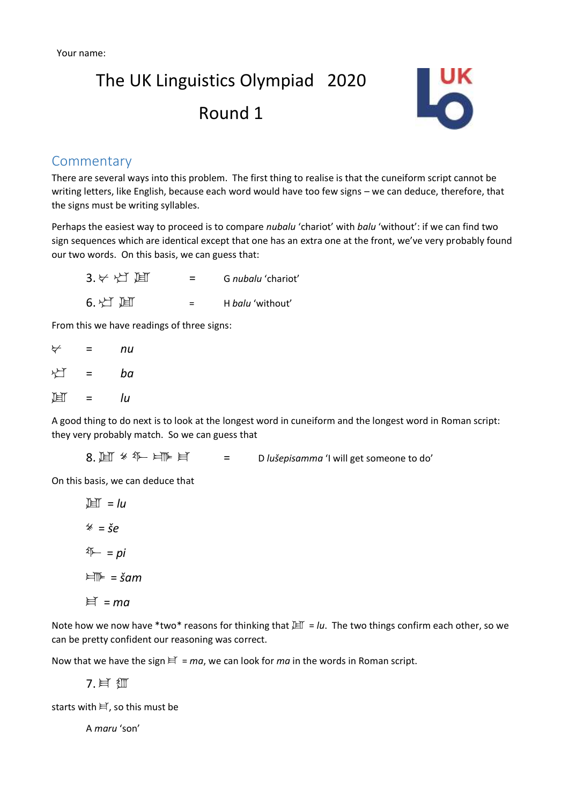

#### **Commentary**

There are several ways into this problem. The first thing to realise is that the cuneiform script cannot be writing letters, like English, because each word would have too few signs – we can deduce, therefore, that the signs must be writing syllables.

Perhaps the easiest way to proceed is to compare *nubalu* 'chariot' with *balu* 'without': if we can find two sign sequences which are identical except that one has an extra one at the front, we've very probably found our two words. On this basis, we can guess that:

 $3.$   $\forall$   $\forall$   $\Box$   $\Box$  = G *nubalu* 'chariot'  $6.$   $\uparrow$   $\uparrow$   $\uparrow$   $\uparrow$   $\uparrow$   $\downarrow$   $\downarrow$   $\downarrow$   $\downarrow$   $\downarrow$   $\downarrow$   $\downarrow$   $\downarrow$   $\downarrow$   $\downarrow$   $\downarrow$   $\downarrow$   $\downarrow$   $\downarrow$   $\downarrow$   $\downarrow$   $\downarrow$   $\downarrow$   $\downarrow$   $\downarrow$   $\downarrow$   $\downarrow$   $\downarrow$   $\downarrow$   $\downarrow$   $\downarrow$   $\downarrow$   $\downarrow$   $\downarrow$   $\downarrow$   $\downarrow$ 

From this we have readings of three signs:

| ⊬ | = | nu |
|---|---|----|
| 凸 | Ξ | ba |
| 圓 | Ξ | lu |

A good thing to do next is to look at the longest word in cuneiform and the longest word in Roman script: they very probably match. So we can guess that

 $8. \ \ \mathbb{H} \ast \mathbb{I}$   $\mathbb{H} \models$   $\mathbb{H}$  = D lušepisamma 'I will get someone to do'

On this basis, we can deduce that

 $\mathbb{H}$  =  $\mathbb{H}$  $* = \xi e$  $\sqrt[4]{-}$  = pi  $\forall \mathbb{I} \models \exists \mathsf{S}$ am  $\equiv$   $m\pi$ 

Note how we now have \*two\* reasons for thinking that  $H = Iu$ . The two things confirm each other, so we can be pretty confident our reasoning was correct.

Now that we have the sign  $\equiv = ma$ , we can look for *ma* in the words in Roman script.

7. 耳

starts with  $\equiv$ , so this must be

A *maru* 'son'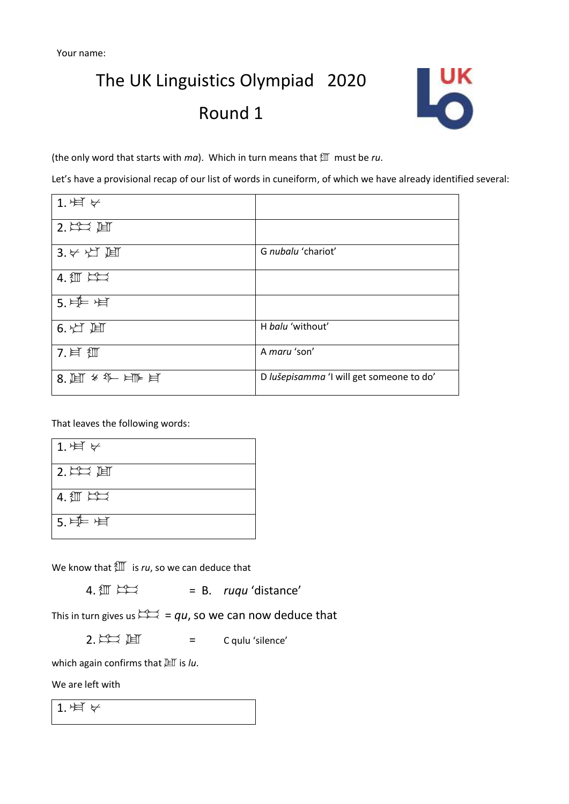

(the only word that starts with *ma*). Which in turn means that 1 must be *ru*.

Let's have a provisional recap of our list of words in cuneiform, of which we have already identified several:

| 1. 卢 $\forall$           |                                          |
|--------------------------|------------------------------------------|
| $2.$ $\leftrightarrow$ 咱 |                                          |
| $3.5 \times 1$ 耳         | G nubalu 'chariot'                       |
| $4.5$ $\pm 2$            |                                          |
| 5. 单上                    |                                          |
| 6. 灯 间                   | H balu 'without'                         |
| 7. 耳 细                   | A maru 'son'                             |
| 8. 闻 * 年 ば 目             | D lušepisamma 'I will get someone to do' |

That leaves the following words:

| 1. 月 $\forall$                  |  |
|---------------------------------|--|
| $\vert$ 2. $\rightleftarrows$ 囲 |  |
| $4.1$ $\text{m}$ $\text{m}$     |  |
| $5.$ 卢一)                        |  |

We know that  $\sqrt[4]{\mathbb{I}}$  is *ru*, so we can deduce that

 $4. \frac{4 \pi}{3}$   $\frac{12}{2}$  = B. *ruqu* 'distance'

This in turn gives us  $\overleftrightarrow{\phantom{a}} = qu$ , so we can now deduce that

 $2. \sum_{i=1}^{N}$  I = C qulu 'silence'

which again confirms that  $H$  is *lu*.

We are left with

1. 片  $\forall$